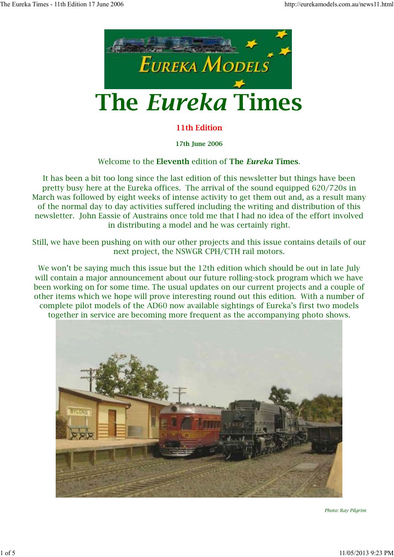

# **The** *Eureka* **Times**

#### **11th Edition**

**17th June 2006**

#### Welcome to the **Eleventh** edition of **The** *Eureka* **Times**.

It has been a bit too long since the last edition of this newsletter but things have been pretty busy here at the Eureka offices. The arrival of the sound equipped 620/720s in March was followed by eight weeks of intense activity to get them out and, as a result many of the normal day to day activities suffered including the writing and distribution of this newsletter. John Eassie of Austrains once told me that I had no idea of the effort involved in distributing a model and he was certainly right.

Still, we have been pushing on with our other projects and this issue contains details of our next project, the NSWGR CPH/CTH rail motors.

We won't be saying much this issue but the 12th edition which should be out in late July will contain a major announcement about our future rolling-stock program which we have been working on for some time. The usual updates on our current projects and a couple of other items which we hope will prove interesting round out this edition. With a number of complete pilot models of the AD60 now available sightings of Eureka's first two models together in service are becoming more frequent as the accompanying photo shows.



*Photo: Ray Pilgrim*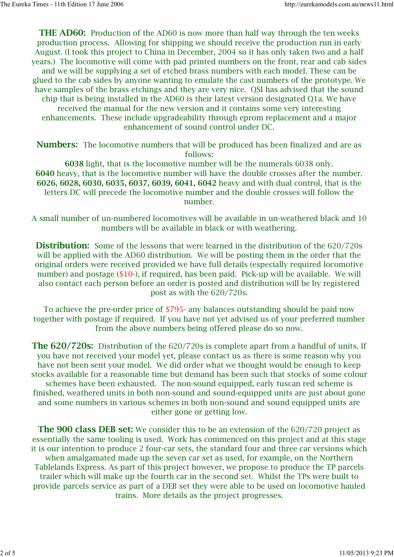**THE AD60:** Production of the AD60 is now more than half way through the ten weeks production process. Allowing for shipping we should receive the production run in early August. (I took this project to China in December, 2004 so it has only taken two and a half years.) The locomotive will come with pad printed numbers on the front, rear and cab sides and we will be supplying a set of etched brass numbers with each model. These can be glued to the cab sides by anyone wanting to emulate the cast numbers of the prototype. We have samples of the brass etchings and they are very nice. QSI has advised that the sound chip that is being installed in the AD60 is their latest version designated Q1a. We have received the manual for the new version and it contains some very interesting enhancements. These include upgradeability through eprom replacement and a major enhancement of sound control under DC.

**Numbers:** The locomotive numbers that will be produced has been finalized and are as follows:

**6038** light, that is the locomotive number will be the numerals 6038 only. **6040** heavy, that is the locomotive number will have the double crosses after the number. **6026, 6028, 6030, 6035, 6037, 6039, 6041, 6042** heavy and with dual control, that is the letters DC will precede the locomotive number and the double crosses will follow the number.

A small number of un-numbered locomotives will be available in un-weathered black and 10 numbers will be available in black or with weathering.

**Distribution:** Some of the lessons that were learned in the distribution of the 620/720s will be applied with the AD60 distribution. We will be posting them in the order that the original orders were received provided we have full details (especially required locomotive number) and postage (\$10-), if required, has been paid. Pick-up will be available. We will also contact each person before an order is posted and distribution will be by registered post as with the 620/720s.

To achieve the pre-order price of \$795- any balances outstanding should be paid now together with postage if required. If you have not yet advised us of your preferred number from the above numbers being offered please do so now.

**The 620/720s:** Distribution of the 620/720s is complete apart from a handful of units. If you have not received your model yet, please contact us as there is some reason why you have not been sent your model. We did order what we thought would be enough to keep stocks available for a reasonable time but demand has been such that stocks of some colour schemes have been exhausted. The non-sound equipped, early tuscan red scheme is finished, weathered units in both non-sound and sound-equipped units are just about gone and some numbers in various schemes in both non-sound and sound equipped units are either gone or getting low.

**The 900 class DEB set:** We consider this to be an extension of the 620/720 project as essentially the same tooling is used. Work has commenced on this project and at this stage it is our intention to produce 2 four-car sets, the standard four and three car versions which when amalgamated made up the seven car set as used, for example, on the Northern Tablelands Express. As part of this project however, we propose to produce the TP parcels trailer which will make up the fourth car in the second set. Whilst the TPs were built to provide parcels service as part of a DEB set they were able to be used on locomotive hauled trains. More details as the project progresses.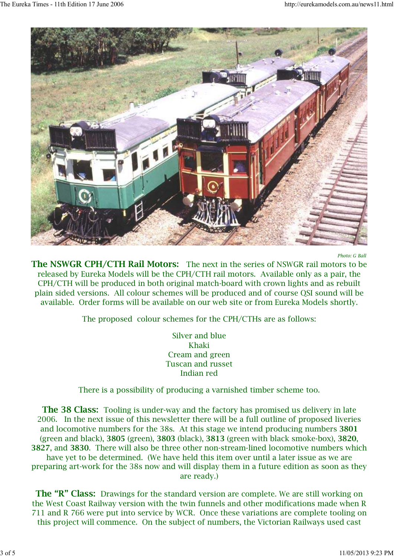

*Photo: G Ball* 

**The NSWGR CPH/CTH Rail Motors:** The next in the series of NSWGR rail motors to be released by Eureka Models will be the CPH/CTH rail motors. Available only as a pair, the CPH/CTH will be produced in both original match-board with crown lights and as rebuilt plain sided versions. All colour schemes will be produced and of course QSI sound will be available. Order forms will be available on our web site or from Eureka Models shortly.

The proposed colour schemes for the CPH/CTHs are as follows:

Silver and blue Khaki Cream and green Tuscan and russet Indian red

There is a possibility of producing a varnished timber scheme too.

**The 38 Class:** Tooling is under-way and the factory has promised us delivery in late 2006. In the next issue of this newsletter there will be a full outline of proposed liveries and locomotive numbers for the 38s. At this stage we intend producing numbers **3801** (green and black), **3805** (green), **3803** (black), **3813** (green with black smoke-box), **3820**, **3827**, and **3830**. There will also be three other non-stream-lined locomotive numbers which have yet to be determined. (We have held this item over until a later issue as we are preparing art-work for the 38s now and will display them in a future edition as soon as they are ready.)

**The "R" Class:** Drawings for the standard version are complete. We are still working on the West Coast Railway version with the twin funnels and other modifications made when R 711 and R 766 were put into service by WCR. Once these variations are complete tooling on this project will commence. On the subject of numbers, the Victorian Railways used cast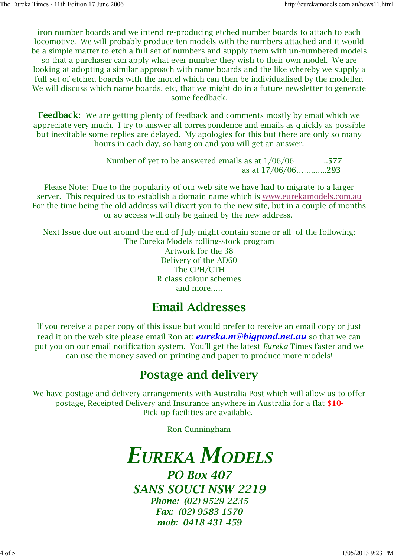iron number boards and we intend re-producing etched number boards to attach to each locomotive. We will probably produce ten models with the numbers attached and it would be a simple matter to etch a full set of numbers and supply them with un-numbered models so that a purchaser can apply what ever number they wish to their own model. We are looking at adopting a similar approach with name boards and the like whereby we supply a full set of etched boards with the model which can then be individualised by the modeller. We will discuss which name boards, etc, that we might do in a future newsletter to generate some feedback.

**Feedback:** We are getting plenty of feedback and comments mostly by email which we appreciate very much. I try to answer all correspondence and emails as quickly as possible but inevitable some replies are delayed. My apologies for this but there are only so many hours in each day, so hang on and you will get an answer.

> Number of yet to be answered emails as at 1/06/06…………..**577** as at 17/06/06……..…..**293**

Please Note: Due to the popularity of our web site we have had to migrate to a larger server. This required us to establish a domain name which is www.eurekamodels.com.au For the time being the old address will divert you to the new site, but in a couple of months or so access will only be gained by the new address.

Next Issue due out around the end of July might contain some or all of the following: The Eureka Models rolling-stock program Artwork for the 38 Delivery of the AD60 The CPH/CTH R class colour schemes and more…..

### **Email Addresses**

If you receive a paper copy of this issue but would prefer to receive an email copy or just read it on the web site please email Ron at: *eureka.m@bigpond.net.au* so that we can put you on our email notification system. You'll get the latest *Eureka* Times faster and we can use the money saved on printing and paper to produce more models!

### **Postage and delivery**

We have postage and delivery arrangements with Australia Post which will allow us to offer postage, Receipted Delivery and Insurance anywhere in Australia for a flat **\$10-** Pick-up facilities are available.

Ron Cunningham

## *EUREKA MODELS*

*PO Box 407 SANS SOUCI NSW 2219 Phone: (02) 9529 2235 Fax: (02) 9583 1570 mob: 0418 431 459*